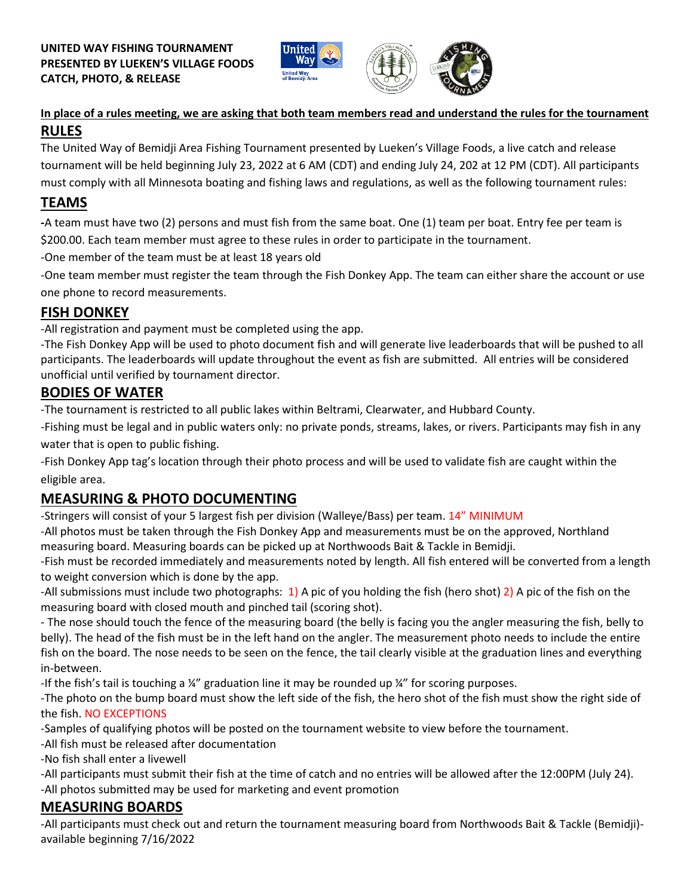



#### **In place of a rules meeting, we are asking that both team members read and understand the rules for the tournament RULES**

The United Way of Bemidji Area Fishing Tournament presented by Lueken's Village Foods, a live catch and release tournament will be held beginning July 23, 2022 at 6 AM (CDT) and ending July 24, 202 at 12 PM (CDT). All participants must comply with all Minnesota boating and fishing laws and regulations, as well as the following tournament rules:

## **TEAMS**

**-**A team must have two (2) persons and must fish from the same boat. One (1) team per boat. Entry fee per team is \$200.00. Each team member must agree to these rules in order to participate in the tournament.

-One member of the team must be at least 18 years old

-One team member must register the team through the Fish Donkey App. The team can either share the account or use one phone to record measurements.

## **FISH DONKEY**

-All registration and payment must be completed using the app.

-The Fish Donkey App will be used to photo document fish and will generate live leaderboards that will be pushed to all participants. The leaderboards will update throughout the event as fish are submitted. All entries will be considered unofficial until verified by tournament director.

#### **BODIES OF WATER**

-The tournament is restricted to all public lakes within Beltrami, Clearwater, and Hubbard County.

-Fishing must be legal and in public waters only: no private ponds, streams, lakes, or rivers. Participants may fish in any water that is open to public fishing.

-Fish Donkey App tag's location through their photo process and will be used to validate fish are caught within the eligible area.

## **MEASURING & PHOTO DOCUMENTING**

-Stringers will consist of your 5 largest fish per division (Walleye/Bass) per team. 14" MINIMUM

-All photos must be taken through the Fish Donkey App and measurements must be on the approved, Northland measuring board. Measuring boards can be picked up at Northwoods Bait & Tackle in Bemidji.

-Fish must be recorded immediately and measurements noted by length. All fish entered will be converted from a length to weight conversion which is done by the app.

-All submissions must include two photographs:  $1$ ) A pic of you holding the fish (hero shot) 2) A pic of the fish on the measuring board with closed mouth and pinched tail (scoring shot).

- The nose should touch the fence of the measuring board (the belly is facing you the angler measuring the fish, belly to belly). The head of the fish must be in the left hand on the angler. The measurement photo needs to include the entire fish on the board. The nose needs to be seen on the fence, the tail clearly visible at the graduation lines and everything in-between.

-If the fish's tail is touching a  $\frac{1}{4}$ " graduation line it may be rounded up  $\frac{1}{4}$ " for scoring purposes.

-The photo on the bump board must show the left side of the fish, the hero shot of the fish must show the right side of the fish. NO EXCEPTIONS

-Samples of qualifying photos will be posted on the tournament website to view before the tournament.

-All fish must be released after documentation

-No fish shall enter a livewell

-All participants must submit their fish at the time of catch and no entries will be allowed after the 12:00PM (July 24). -All photos submitted may be used for marketing and event promotion

# **MEASURING BOARDS**

-All participants must check out and return the tournament measuring board from Northwoods Bait & Tackle (Bemidji) available beginning 7/16/2022